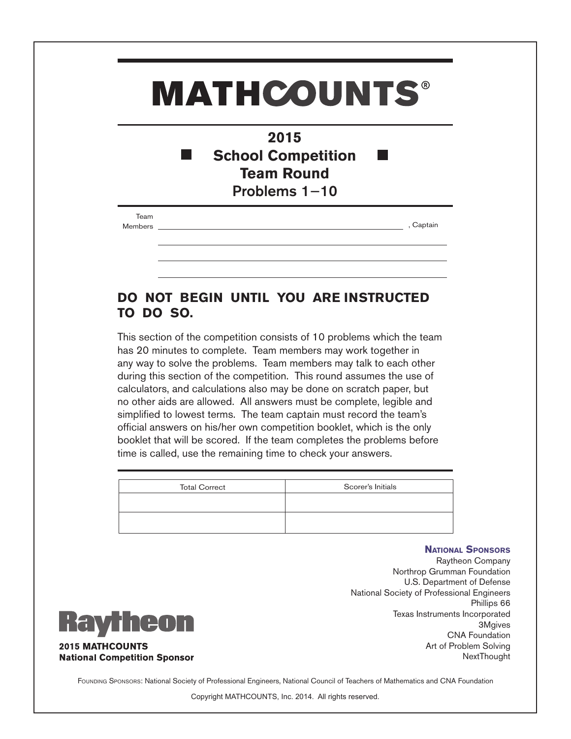## **MATHCOUNTS®**

| 2015                      |
|---------------------------|
| <b>School Competition</b> |
| <b>Team Round</b>         |
| Problems $1-10$           |

Team

Members , Captain

## **DO NOT BEGIN UNTIL YOU ARE INSTRUCTED TO DO SO.**

This section of the competition consists of 10 problems which the team has 20 minutes to complete. Team members may work together in any way to solve the problems. Team members may talk to each other during this section of the competition. This round assumes the use of calculators, and calculations also may be done on scratch paper, but no other aids are allowed. All answers must be complete, legible and simplified to lowest terms. The team captain must record the team's official answers on his/her own competition booklet, which is the only booklet that will be scored. If the team completes the problems before time is called, use the remaining time to check your answers.

| <b>Total Correct</b> | Scorer's Initials |
|----------------------|-------------------|
|                      |                   |
|                      |                   |

## **National Sponsors**



Raytheon Company Northrop Grumman Foundation U.S. Department of Defense National Society of Professional Engineers Phillips 66 Texas Instruments Incorporated 3Mgives CNA Foundation Art of Problem Solving NextThought

FOUNDING SPONSORS: National Society of Professional Engineers, National Council of Teachers of Mathematics and CNA Foundation

Copyright MATHCOUNTS, Inc. 2014. All rights reserved.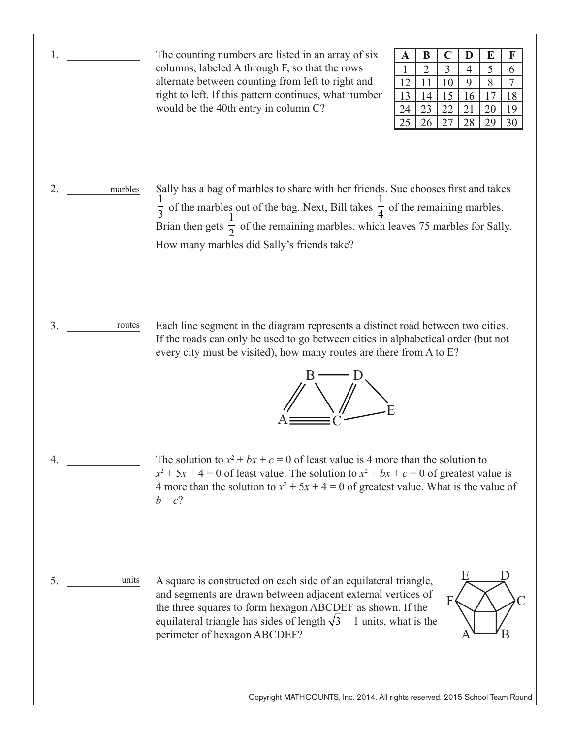1. \_\_\_\_\_\_\_\_\_\_\_\_\_ 2. <u>marbles</u> 3. \_\_\_\_\_\_\_\_\_\_\_\_\_ routes 4. \_\_\_\_\_\_\_\_\_\_\_\_\_  $5.$ The counting numbers are listed in an array of six columns, labeled A through F, so that the rows alternate between counting from left to right and right to left. If this pattern continues, what number would be the 40th entry in column C? Sally has a bag of marbles to share with her friends. Sue chooses first and takes  $\vec{1}$  $\frac{1}{3}$  of the marbles out of the bag. Next, Bill takes  $\tilde{1}$  $\frac{1}{4}$  of the remaining marbles. Brian then gets  $\breve{1}$  $\frac{1}{2}$  of the remaining marbles, which leaves 75 marbles for Sally. How many marbles did Sally's friends take? Each line segment in the diagram represents a distinct road between two cities. If the roads can only be used to go between cities in alphabetical order (but not every city must be visited), how many routes are there from A to E? The solution to  $x^2 + bx + c = 0$  of least value is 4 more than the solution to  $x^2 + 5x + 4 = 0$  of least value. The solution to  $x^2 + bx + c = 0$  of greatest value is 4 more than the solution to  $x^2 + 5x + 4 = 0$  of greatest value. What is the value of  $b + c^2$ A square is constructed on each side of an equilateral triangle, and segments are drawn between adjacent external vertices of the three squares to form hexagon ABCDEF as shown. If the equilateral triangle has sides of length  $\sqrt{3}$  – 1 units, what is the perimeter of hexagon ABCDEF? **A B C D E F** 1 2 3 4 5 6 <u>12 | 11 | 10 | 9 | 8 | 7</u> 13 14 15 16 17 18 24 | 23 | 22 | 21 | 20 | 19 25 | 26 | 27 | 28 | 29 | 30 A  $\mathbf{B}$  $\mathcal{C}_{0}^{(n)}$  $\cdot$  D E units  $A \rightarrow B$  $\mathcal{C}_{0}^{(n)}$  $\frac{E}{\sim}$ F

Copyright MATHCOUNTS, Inc. 2014. All rights reserved. 2015 School Team Round